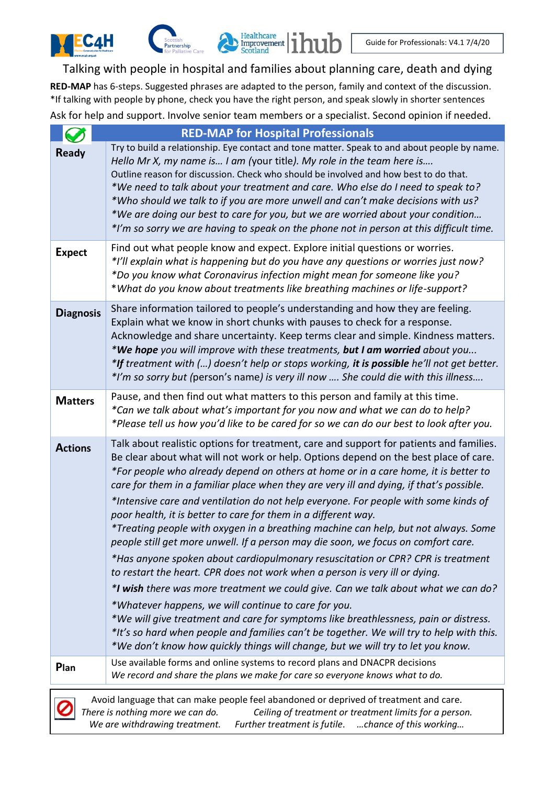#### Talking with people in hospital and families about planning care, death and dying

 $\sum_{\substack{\text{Improvement} \\ \text{Scotland}}}\prod_{i=1}^{H\text{calthcare}}$ 

**RED-MAP** has 6-steps. Suggested phrases are adapted to the person, family and context of the discussion. \*If talking with people by phone, check you have the right person, and speak slowly in shorter sentences Ask for help and support. Involve senior team members or a specialist. Second opinion if needed.

|                  | <b>RED-MAP for Hospital Professionals</b>                                                                                                                                                                                                                                                                                                                                                                                                                                                                                                                                                                                                                                                                                                                                                                                                                                                                                                                                                                                                                                                                                                                                                                                                                                                   |
|------------------|---------------------------------------------------------------------------------------------------------------------------------------------------------------------------------------------------------------------------------------------------------------------------------------------------------------------------------------------------------------------------------------------------------------------------------------------------------------------------------------------------------------------------------------------------------------------------------------------------------------------------------------------------------------------------------------------------------------------------------------------------------------------------------------------------------------------------------------------------------------------------------------------------------------------------------------------------------------------------------------------------------------------------------------------------------------------------------------------------------------------------------------------------------------------------------------------------------------------------------------------------------------------------------------------|
| <b>Ready</b>     | Try to build a relationship. Eye contact and tone matter. Speak to and about people by name.<br>Hello Mr X, my name is I am (your title). My role in the team here is<br>Outline reason for discussion. Check who should be involved and how best to do that.<br>*We need to talk about your treatment and care. Who else do I need to speak to?<br>*Who should we talk to if you are more unwell and can't make decisions with us?<br>*We are doing our best to care for you, but we are worried about your condition<br>*I'm so sorry we are having to speak on the phone not in person at this difficult time.                                                                                                                                                                                                                                                                                                                                                                                                                                                                                                                                                                                                                                                                           |
| <b>Expect</b>    | Find out what people know and expect. Explore initial questions or worries.<br>*I'll explain what is happening but do you have any questions or worries just now?<br>*Do you know what Coronavirus infection might mean for someone like you?<br>*What do you know about treatments like breathing machines or life-support?                                                                                                                                                                                                                                                                                                                                                                                                                                                                                                                                                                                                                                                                                                                                                                                                                                                                                                                                                                |
| <b>Diagnosis</b> | Share information tailored to people's understanding and how they are feeling.<br>Explain what we know in short chunks with pauses to check for a response.<br>Acknowledge and share uncertainty. Keep terms clear and simple. Kindness matters.<br>*We hope you will improve with these treatments, but I am worried about you<br>*If treatment with () doesn't help or stops working, it is possible he'll not get better.<br>*I'm so sorry but (person's name) is very ill now  She could die with this illness                                                                                                                                                                                                                                                                                                                                                                                                                                                                                                                                                                                                                                                                                                                                                                          |
| <b>Matters</b>   | Pause, and then find out what matters to this person and family at this time.<br>*Can we talk about what's important for you now and what we can do to help?<br>*Please tell us how you'd like to be cared for so we can do our best to look after you.                                                                                                                                                                                                                                                                                                                                                                                                                                                                                                                                                                                                                                                                                                                                                                                                                                                                                                                                                                                                                                     |
| <b>Actions</b>   | Talk about realistic options for treatment, care and support for patients and families.<br>Be clear about what will not work or help. Options depend on the best place of care.<br>*For people who already depend on others at home or in a care home, it is better to<br>care for them in a familiar place when they are very ill and dying, if that's possible.<br>*Intensive care and ventilation do not help everyone. For people with some kinds of<br>poor health, it is better to care for them in a different way.<br>*Treating people with oxygen in a breathing machine can help, but not always. Some<br>people still get more unwell. If a person may die soon, we focus on comfort care.<br>*Has anyone spoken about cardiopulmonary resuscitation or CPR? CPR is treatment<br>to restart the heart. CPR does not work when a person is very ill or dying.<br>*I wish there was more treatment we could give. Can we talk about what we can do?<br>*Whatever happens, we will continue to care for you.<br>*We will give treatment and care for symptoms like breathlessness, pain or distress.<br>*It's so hard when people and families can't be together. We will try to help with this.<br>*We don't know how quickly things will change, but we will try to let you know. |
| Plan             | Use available forms and online systems to record plans and DNACPR decisions<br>We record and share the plans we make for care so everyone knows what to do.                                                                                                                                                                                                                                                                                                                                                                                                                                                                                                                                                                                                                                                                                                                                                                                                                                                                                                                                                                                                                                                                                                                                 |
|                  | Avoid language that can make people feel abandoned or deprived of treatment and care.                                                                                                                                                                                                                                                                                                                                                                                                                                                                                                                                                                                                                                                                                                                                                                                                                                                                                                                                                                                                                                                                                                                                                                                                       |



**C4H** 

*There is nothing more we can do. Ceiling of treatment or treatment limits for a person. We are withdrawing treatment. Further treatment is futile. …chance of this working…*